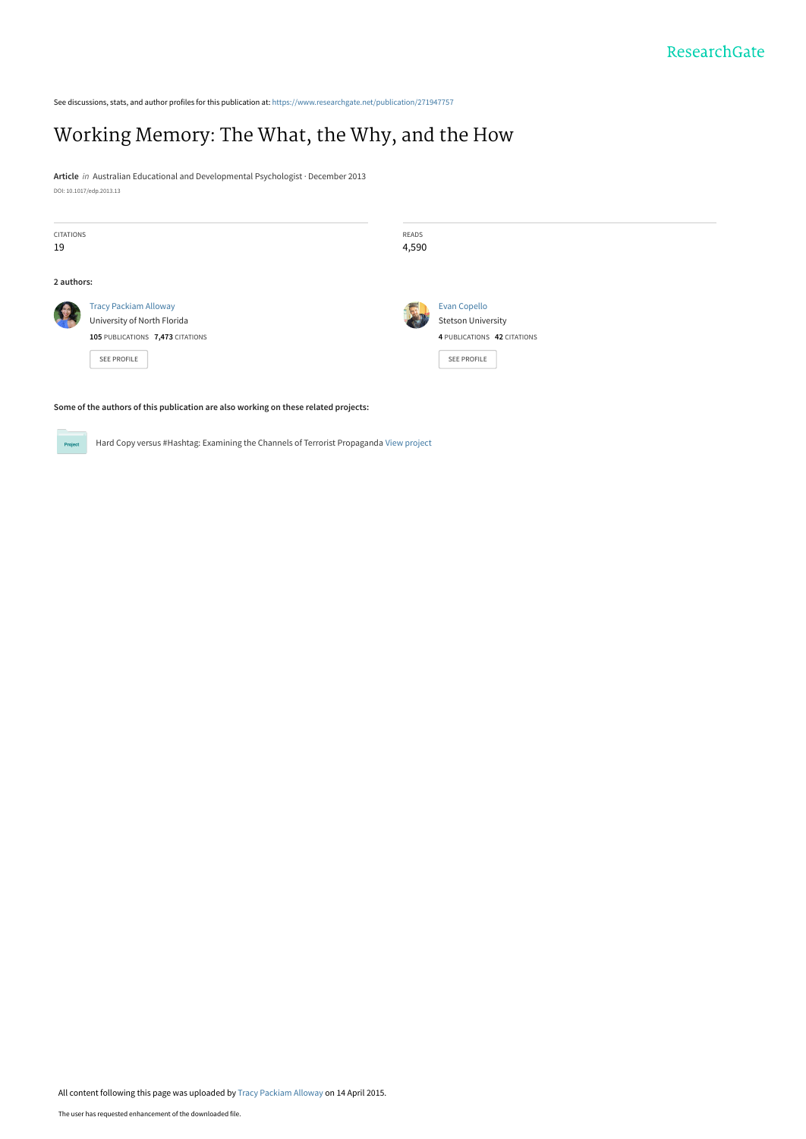See discussions, stats, and author profiles for this publication at: [https://www.researchgate.net/publication/271947757](https://www.researchgate.net/publication/271947757_Working_Memory_The_What_the_Why_and_the_How?enrichId=rgreq-f0047b076f9ab769d80d7687bb1da0df-XXX&enrichSource=Y292ZXJQYWdlOzI3MTk0Nzc1NztBUzoyMTgwOTk4NjY0NDM3NzZAMTQyOTAxMDQ2ODkwNA%3D%3D&el=1_x_2&_esc=publicationCoverPdf)

## [Working Memory: The What, the Why, and the How](https://www.researchgate.net/publication/271947757_Working_Memory_The_What_the_Why_and_the_How?enrichId=rgreq-f0047b076f9ab769d80d7687bb1da0df-XXX&enrichSource=Y292ZXJQYWdlOzI3MTk0Nzc1NztBUzoyMTgwOTk4NjY0NDM3NzZAMTQyOTAxMDQ2ODkwNA%3D%3D&el=1_x_3&_esc=publicationCoverPdf)

**Article** in Australian Educational and Developmental Psychologist · December 2013 DOI: 10.1017/edp.2013.13

| <b>CITATIONS</b><br>19 |                                                                                                                       | READS<br>4,590 |                                                                                                |
|------------------------|-----------------------------------------------------------------------------------------------------------------------|----------------|------------------------------------------------------------------------------------------------|
| 2 authors:             |                                                                                                                       |                |                                                                                                |
|                        | <b>Tracy Packiam Alloway</b><br>University of North Florida<br>105 PUBLICATIONS 7,473 CITATIONS<br><b>SEE PROFILE</b> |                | Evan Copello<br><b>Stetson University</b><br>4 PUBLICATIONS 42 CITATIONS<br><b>SEE PROFILE</b> |

**Some of the authors of this publication are also working on these related projects:**



Hard Copy versus #Hashtag: Examining the Channels of Terrorist Propaganda [View project](https://www.researchgate.net/project/Hard-Copy-versus-Hashtag-Examining-the-Channels-of-Terrorist-Propaganda?enrichId=rgreq-f0047b076f9ab769d80d7687bb1da0df-XXX&enrichSource=Y292ZXJQYWdlOzI3MTk0Nzc1NztBUzoyMTgwOTk4NjY0NDM3NzZAMTQyOTAxMDQ2ODkwNA%3D%3D&el=1_x_9&_esc=publicationCoverPdf)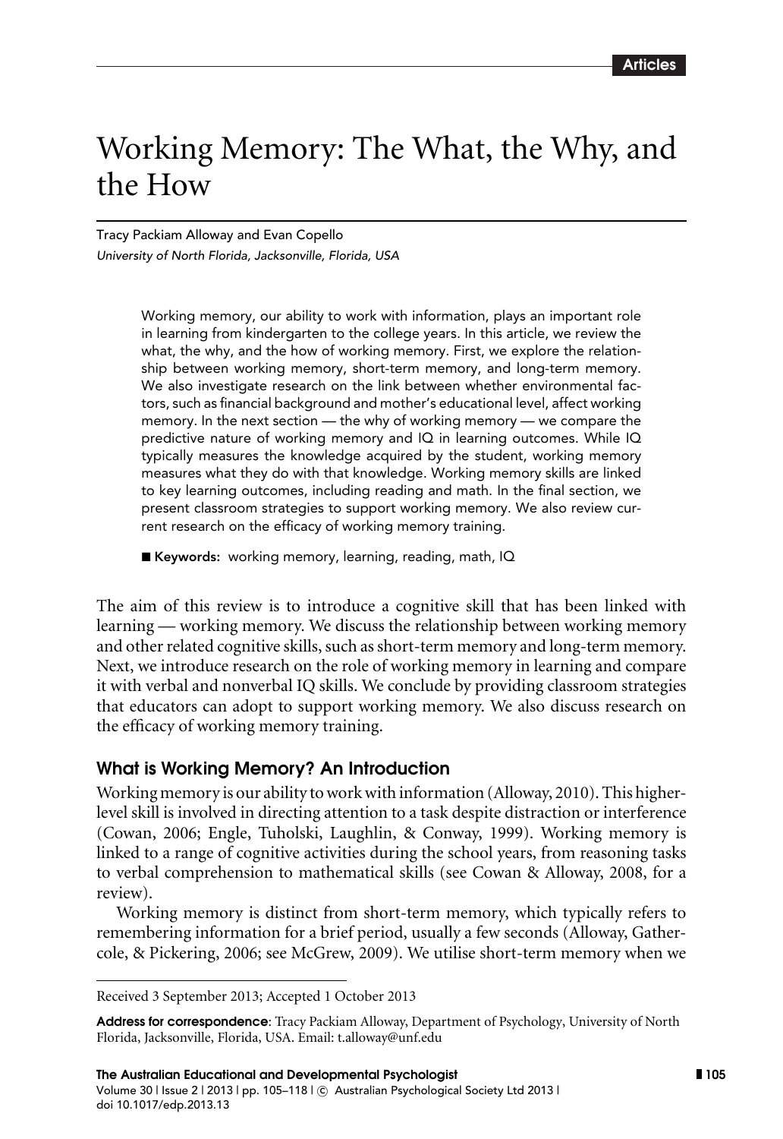# Working Memory: The What, the Why, and the How

Tracy Packiam Alloway and Evan Copello University of North Florida, Jacksonville, Florida, USA

> Working memory, our ability to work with information, plays an important role in learning from kindergarten to the college years. In this article, we review the what, the why, and the how of working memory. First, we explore the relationship between working memory, short-term memory, and long-term memory. We also investigate research on the link between whether environmental factors, such as financial background and mother's educational level, affect working memory. In the next section — the why of working memory — we compare the predictive nature of working memory and IQ in learning outcomes. While IQ typically measures the knowledge acquired by the student, working memory measures what they do with that knowledge. Working memory skills are linked to key learning outcomes, including reading and math. In the final section, we present classroom strategies to support working memory. We also review current research on the efficacy of working memory training.

 $\blacksquare$  Keywords: working memory, learning, reading, math, IQ

The aim of this review is to introduce a cognitive skill that has been linked with learning — working memory. We discuss the relationship between working memory and other related cognitive skills, such as short-term memory and long-term memory. Next, we introduce research on the role of working memory in learning and compare it with verbal and nonverbal IQ skills. We conclude by providing classroom strategies that educators can adopt to support working memory. We also discuss research on the efficacy of working memory training.

## **What is Working Memory? An Introduction**

Working memory is our ability to work with information (Alloway, 2010). This higherlevel skill is involved in directing attention to a task despite distraction or interference (Cowan, 2006; Engle, Tuholski, Laughlin, & Conway, 1999). Working memory is linked to a range of cognitive activities during the school years, from reasoning tasks to verbal comprehension to mathematical skills (see Cowan & Alloway, 2008, for a review).

Working memory is distinct from short-term memory, which typically refers to remembering information for a brief period, usually a few seconds (Alloway, Gathercole, & Pickering, 2006; see McGrew, 2009). We utilise short-term memory when we

Received 3 September 2013; Accepted 1 October 2013

**Address for correspondence**: Tracy Packiam Alloway, Department of Psychology, University of North Florida, Jacksonville, Florida, USA. Email: t.alloway@unf.edu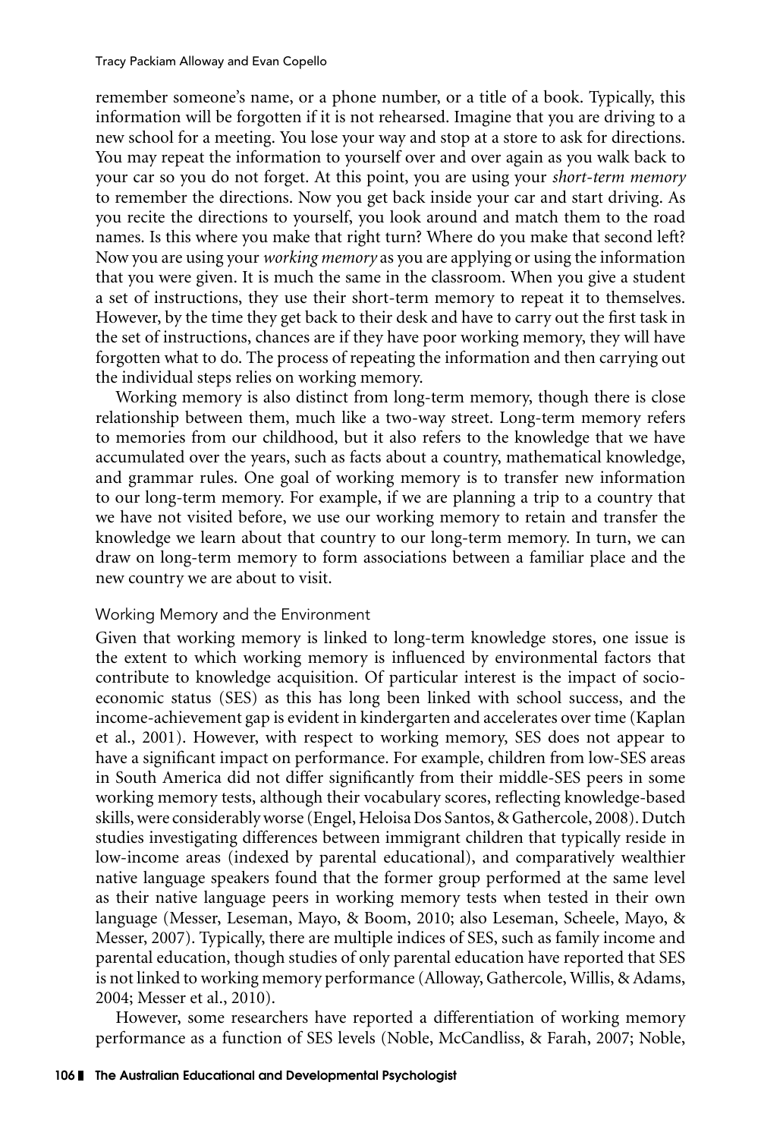remember someone's name, or a phone number, or a title of a book. Typically, this information will be forgotten if it is not rehearsed. Imagine that you are driving to a new school for a meeting. You lose your way and stop at a store to ask for directions. You may repeat the information to yourself over and over again as you walk back to your car so you do not forget. At this point, you are using your *short-term memory* to remember the directions. Now you get back inside your car and start driving. As you recite the directions to yourself, you look around and match them to the road names. Is this where you make that right turn? Where do you make that second left? Now you are using your *working memory* as you are applying or using the information that you were given. It is much the same in the classroom. When you give a student a set of instructions, they use their short-term memory to repeat it to themselves. However, by the time they get back to their desk and have to carry out the first task in the set of instructions, chances are if they have poor working memory, they will have forgotten what to do. The process of repeating the information and then carrying out the individual steps relies on working memory.

Working memory is also distinct from long-term memory, though there is close relationship between them, much like a two-way street. Long-term memory refers to memories from our childhood, but it also refers to the knowledge that we have accumulated over the years, such as facts about a country, mathematical knowledge, and grammar rules. One goal of working memory is to transfer new information to our long-term memory. For example, if we are planning a trip to a country that we have not visited before, we use our working memory to retain and transfer the knowledge we learn about that country to our long-term memory. In turn, we can draw on long-term memory to form associations between a familiar place and the new country we are about to visit.

#### Working Memory and the Environment

Given that working memory is linked to long-term knowledge stores, one issue is the extent to which working memory is influenced by environmental factors that contribute to knowledge acquisition. Of particular interest is the impact of socioeconomic status (SES) as this has long been linked with school success, and the income-achievement gap is evident in kindergarten and accelerates over time (Kaplan et al., 2001). However, with respect to working memory, SES does not appear to have a significant impact on performance. For example, children from low-SES areas in South America did not differ significantly from their middle-SES peers in some working memory tests, although their vocabulary scores, reflecting knowledge-based skills, were considerably worse (Engel, Heloisa Dos Santos, & Gathercole, 2008). Dutch studies investigating differences between immigrant children that typically reside in low-income areas (indexed by parental educational), and comparatively wealthier native language speakers found that the former group performed at the same level as their native language peers in working memory tests when tested in their own language (Messer, Leseman, Mayo, & Boom, 2010; also Leseman, Scheele, Mayo, & Messer, 2007). Typically, there are multiple indices of SES, such as family income and parental education, though studies of only parental education have reported that SES is not linked to working memory performance (Alloway, Gathercole, Willis, & Adams, 2004; Messer et al., 2010).

However, some researchers have reported a differentiation of working memory performance as a function of SES levels (Noble, McCandliss, & Farah, 2007; Noble,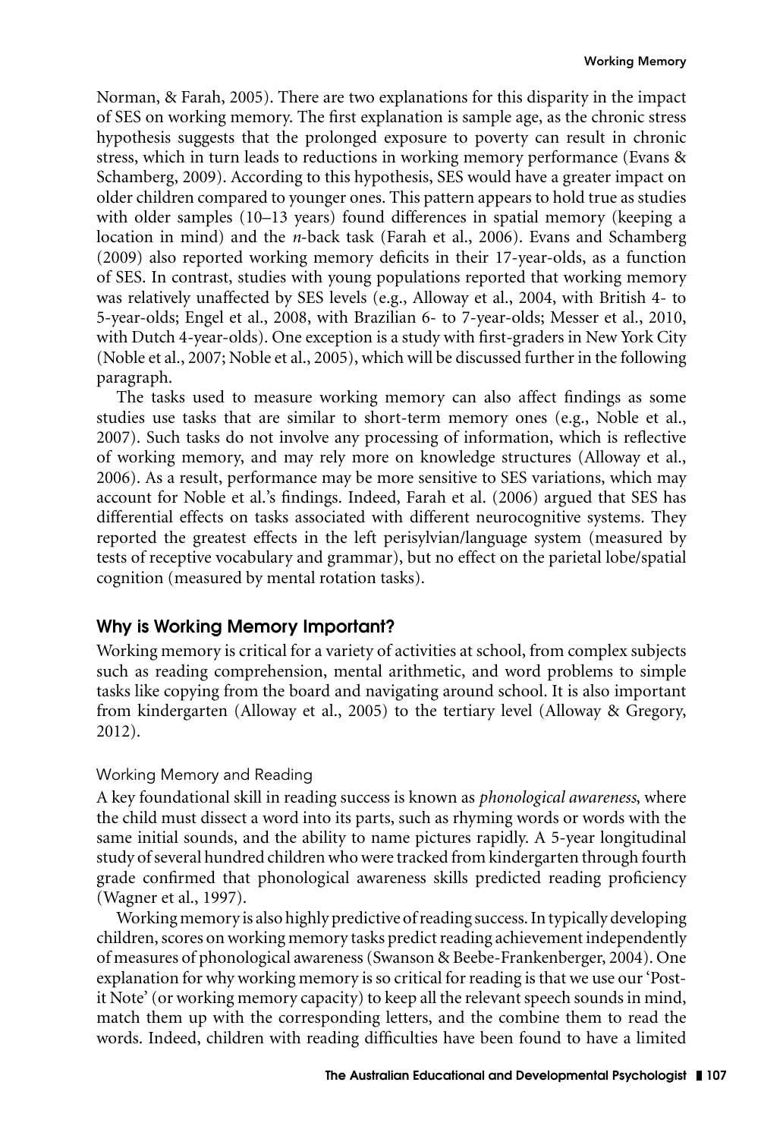Norman, & Farah, 2005). There are two explanations for this disparity in the impact of SES on working memory. The first explanation is sample age, as the chronic stress hypothesis suggests that the prolonged exposure to poverty can result in chronic stress, which in turn leads to reductions in working memory performance (Evans & Schamberg, 2009). According to this hypothesis, SES would have a greater impact on older children compared to younger ones. This pattern appears to hold true as studies with older samples (10–13 years) found differences in spatial memory (keeping a location in mind) and the *n*-back task (Farah et al., 2006). Evans and Schamberg (2009) also reported working memory deficits in their 17-year-olds, as a function of SES. In contrast, studies with young populations reported that working memory was relatively unaffected by SES levels (e.g., Alloway et al., 2004, with British 4- to 5-year-olds; Engel et al., 2008, with Brazilian 6- to 7-year-olds; Messer et al., 2010, with Dutch 4-year-olds). One exception is a study with first-graders in New York City (Noble et al., 2007; Noble et al., 2005), which will be discussed further in the following paragraph.

The tasks used to measure working memory can also affect findings as some studies use tasks that are similar to short-term memory ones (e.g., Noble et al., 2007). Such tasks do not involve any processing of information, which is reflective of working memory, and may rely more on knowledge structures (Alloway et al., 2006). As a result, performance may be more sensitive to SES variations, which may account for Noble et al.'s findings. Indeed, Farah et al. (2006) argued that SES has differential effects on tasks associated with different neurocognitive systems. They reported the greatest effects in the left perisylvian/language system (measured by tests of receptive vocabulary and grammar), but no effect on the parietal lobe/spatial cognition (measured by mental rotation tasks).

#### **Why is Working Memory Important?**

Working memory is critical for a variety of activities at school, from complex subjects such as reading comprehension, mental arithmetic, and word problems to simple tasks like copying from the board and navigating around school. It is also important from kindergarten (Alloway et al., 2005) to the tertiary level (Alloway & Gregory, 2012).

#### Working Memory and Reading

A key foundational skill in reading success is known as *phonological awareness*, where the child must dissect a word into its parts, such as rhyming words or words with the same initial sounds, and the ability to name pictures rapidly. A 5-year longitudinal study of several hundred children who were tracked from kindergarten through fourth grade confirmed that phonological awareness skills predicted reading proficiency (Wagner et al., 1997).

Working memory is also highly predictive of reading success. In typically developing children, scores on working memory tasks predict reading achievement independently of measures of phonological awareness (Swanson & Beebe-Frankenberger, 2004). One explanation for why working memory is so critical for reading is that we use our 'Postit Note' (or working memory capacity) to keep all the relevant speech sounds in mind, match them up with the corresponding letters, and the combine them to read the words. Indeed, children with reading difficulties have been found to have a limited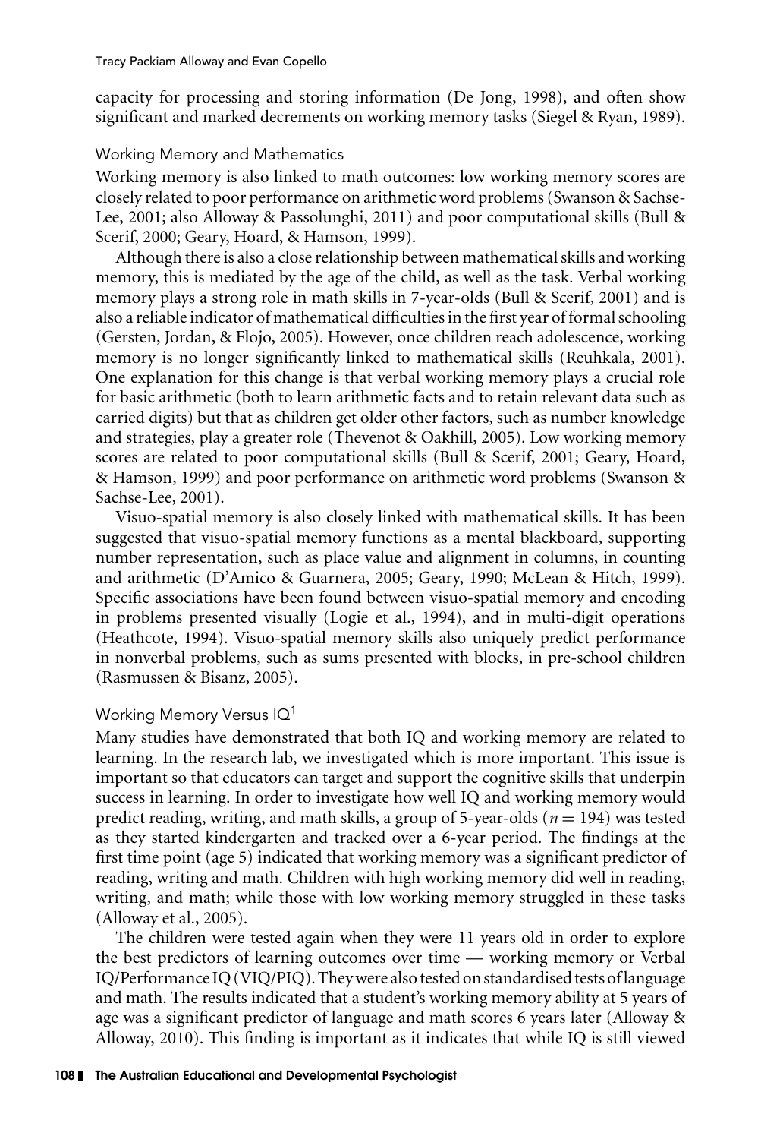capacity for processing and storing information (De Jong, 1998), and often show significant and marked decrements on working memory tasks (Siegel & Ryan, 1989).

## Working Memory and Mathematics

Working memory is also linked to math outcomes: low working memory scores are closely related to poor performance on arithmetic word problems (Swanson & Sachse-Lee, 2001; also Alloway & Passolunghi, 2011) and poor computational skills (Bull & Scerif, 2000; Geary, Hoard, & Hamson, 1999).

Although there is also a close relationship between mathematical skills and working memory, this is mediated by the age of the child, as well as the task. Verbal working memory plays a strong role in math skills in 7-year-olds (Bull & Scerif, 2001) and is also a reliable indicator of mathematical difficulties in the first year of formal schooling (Gersten, Jordan, & Flojo, 2005). However, once children reach adolescence, working memory is no longer significantly linked to mathematical skills (Reuhkala, 2001). One explanation for this change is that verbal working memory plays a crucial role for basic arithmetic (both to learn arithmetic facts and to retain relevant data such as carried digits) but that as children get older other factors, such as number knowledge and strategies, play a greater role (Thevenot & Oakhill, 2005). Low working memory scores are related to poor computational skills (Bull & Scerif, 2001; Geary, Hoard, & Hamson, 1999) and poor performance on arithmetic word problems (Swanson & Sachse-Lee, 2001).

Visuo-spatial memory is also closely linked with mathematical skills. It has been suggested that visuo-spatial memory functions as a mental blackboard, supporting number representation, such as place value and alignment in columns, in counting and arithmetic (D'Amico & Guarnera, 2005; Geary, 1990; McLean & Hitch, 1999). Specific associations have been found between visuo-spatial memory and encoding in problems presented visually (Logie et al., 1994), and in multi-digit operations (Heathcote, 1994). Visuo-spatial memory skills also uniquely predict performance in nonverbal problems, such as sums presented with blocks, in pre-school children (Rasmussen & Bisanz, 2005).

## Working Memory Versus IQ<sup>1</sup>

Many studies have demonstrated that both IQ and working memory are related to learning. In the research lab, we investigated which is more important. This issue is important so that educators can target and support the cognitive skills that underpin success in learning. In order to investigate how well IQ and working memory would predict reading, writing, and math skills, a group of 5-year-olds (*n* = 194) was tested as they started kindergarten and tracked over a 6-year period. The findings at the first time point (age 5) indicated that working memory was a significant predictor of reading, writing and math. Children with high working memory did well in reading, writing, and math; while those with low working memory struggled in these tasks (Alloway et al., 2005).

The children were tested again when they were 11 years old in order to explore the best predictors of learning outcomes over time — working memory or Verbal IQ/Performance IQ (VIQ/PIQ). They were also tested on standardised tests of language and math. The results indicated that a student's working memory ability at 5 years of age was a significant predictor of language and math scores 6 years later (Alloway & Alloway, 2010). This finding is important as it indicates that while IQ is still viewed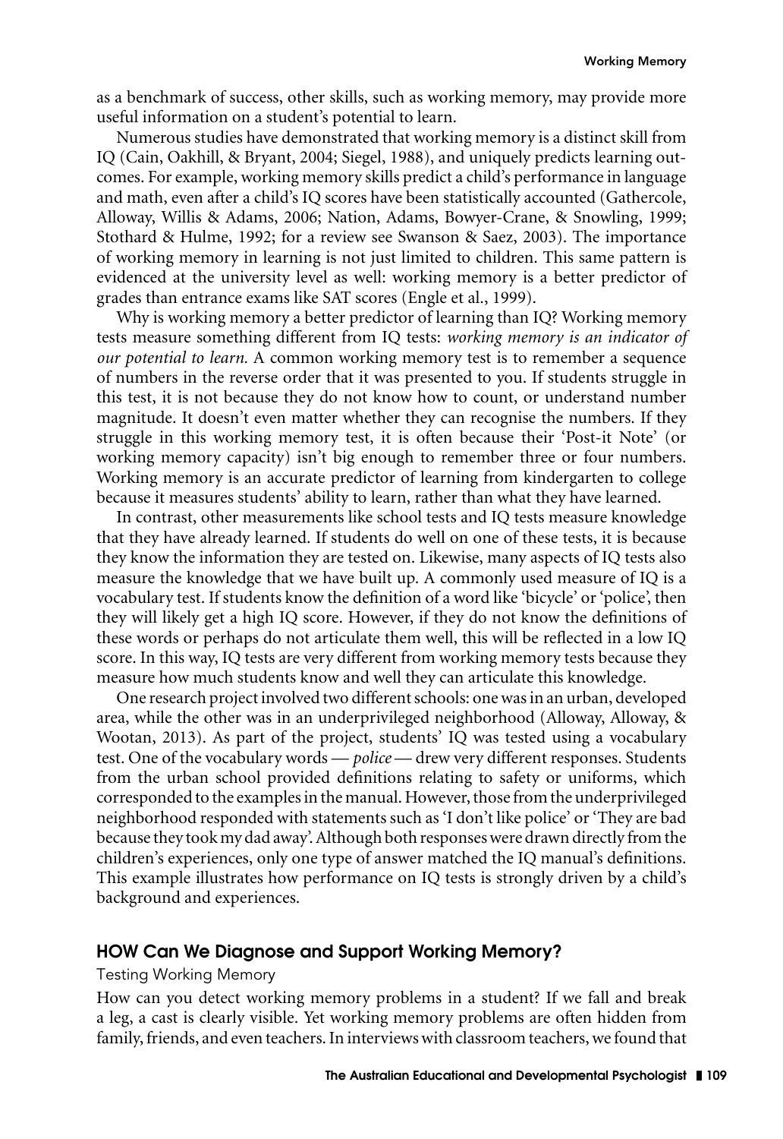as a benchmark of success, other skills, such as working memory, may provide more useful information on a student's potential to learn.

Numerous studies have demonstrated that working memory is a distinct skill from IQ (Cain, Oakhill, & Bryant, 2004; Siegel, 1988), and uniquely predicts learning outcomes. For example, working memory skills predict a child's performance in language and math, even after a child's IQ scores have been statistically accounted (Gathercole, Alloway, Willis & Adams, 2006; Nation, Adams, Bowyer-Crane, & Snowling, 1999; Stothard & Hulme, 1992; for a review see Swanson & Saez, 2003). The importance of working memory in learning is not just limited to children. This same pattern is evidenced at the university level as well: working memory is a better predictor of grades than entrance exams like SAT scores (Engle et al., 1999).

Why is working memory a better predictor of learning than IQ? Working memory tests measure something different from IQ tests: *working memory is an indicator of our potential to learn.* A common working memory test is to remember a sequence of numbers in the reverse order that it was presented to you. If students struggle in this test, it is not because they do not know how to count, or understand number magnitude. It doesn't even matter whether they can recognise the numbers. If they struggle in this working memory test, it is often because their 'Post-it Note' (or working memory capacity) isn't big enough to remember three or four numbers. Working memory is an accurate predictor of learning from kindergarten to college because it measures students' ability to learn, rather than what they have learned.

In contrast, other measurements like school tests and IQ tests measure knowledge that they have already learned. If students do well on one of these tests, it is because they know the information they are tested on. Likewise, many aspects of IQ tests also measure the knowledge that we have built up. A commonly used measure of IQ is a vocabulary test. If students know the definition of a word like 'bicycle' or 'police', then they will likely get a high IQ score. However, if they do not know the definitions of these words or perhaps do not articulate them well, this will be reflected in a low IQ score. In this way, IQ tests are very different from working memory tests because they measure how much students know and well they can articulate this knowledge.

One research project involved two different schools: one was in an urban, developed area, while the other was in an underprivileged neighborhood (Alloway, Alloway, & Wootan, 2013). As part of the project, students' IQ was tested using a vocabulary test. One of the vocabulary words — *police* — drew very different responses. Students from the urban school provided definitions relating to safety or uniforms, which corresponded to the examples in the manual. However, those from the underprivileged neighborhood responded with statements such as 'I don't like police' or 'They are bad because they took my dad away'. Although both responses were drawn directly from the children's experiences, only one type of answer matched the IQ manual's definitions. This example illustrates how performance on IQ tests is strongly driven by a child's background and experiences.

#### **HOW Can We Diagnose and Support Working Memory?**

#### Testing Working Memory

How can you detect working memory problems in a student? If we fall and break a leg, a cast is clearly visible. Yet working memory problems are often hidden from family, friends, and even teachers. In interviews with classroom teachers, we found that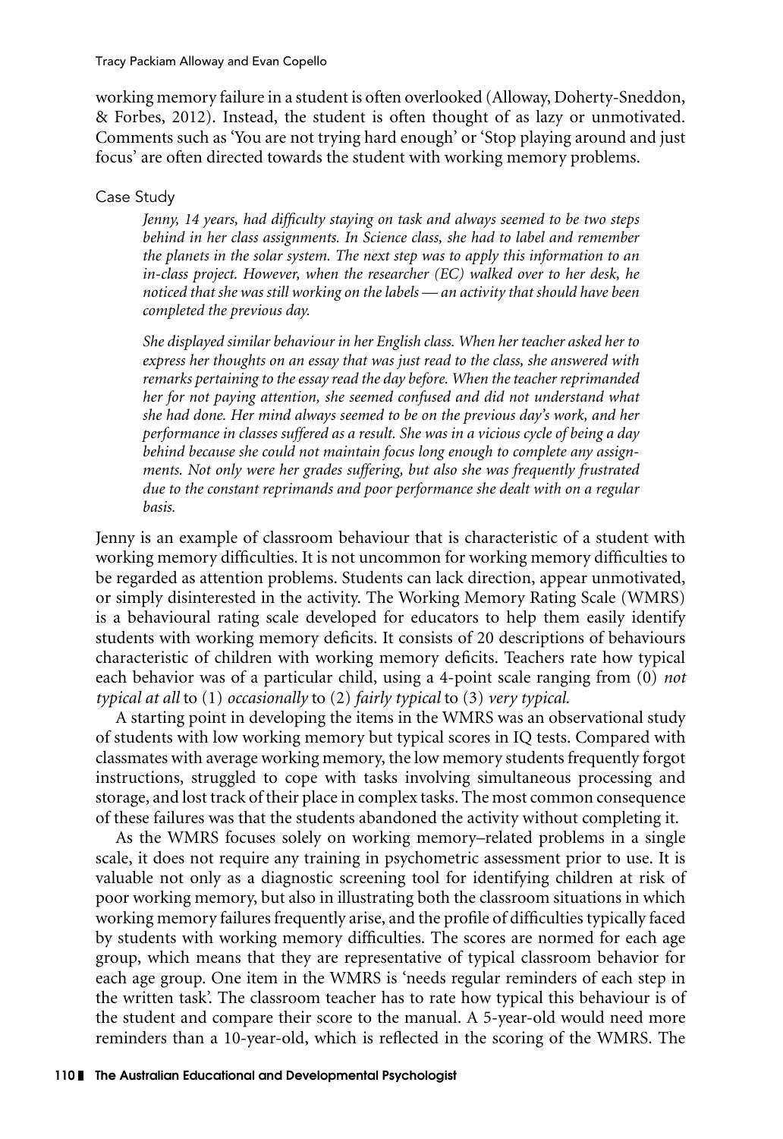working memory failure in a student is often overlooked (Alloway, Doherty-Sneddon, & Forbes, 2012). Instead, the student is often thought of as lazy or unmotivated. Comments such as 'You are not trying hard enough' or 'Stop playing around and just focus' are often directed towards the student with working memory problems.

Case Study

*Jenny, 14 years, had difficulty staying on task and always seemed to be two steps behind in her class assignments. In Science class, she had to label and remember the planets in the solar system. The next step was to apply this information to an in-class project. However, when the researcher (EC) walked over to her desk, he noticed that she was still working on the labels — an activity that should have been completed the previous day.*

*She displayed similar behaviour in her English class. When her teacher asked her to express her thoughts on an essay that was just read to the class, she answered with remarks pertaining to the essay read the day before. When the teacher reprimanded her for not paying attention, she seemed confused and did not understand what she had done. Her mind always seemed to be on the previous day's work, and her performance in classes suffered as a result. She was in a vicious cycle of being a day behind because she could not maintain focus long enough to complete any assignments. Not only were her grades suffering, but also she was frequently frustrated due to the constant reprimands and poor performance she dealt with on a regular basis.*

Jenny is an example of classroom behaviour that is characteristic of a student with working memory difficulties. It is not uncommon for working memory difficulties to be regarded as attention problems. Students can lack direction, appear unmotivated, or simply disinterested in the activity. The Working Memory Rating Scale (WMRS) is a behavioural rating scale developed for educators to help them easily identify students with working memory deficits. It consists of 20 descriptions of behaviours characteristic of children with working memory deficits. Teachers rate how typical each behavior was of a particular child, using a 4-point scale ranging from (0) *not typical at all* to (1) *occasionally* to (2) *fairly typical* to (3) *very typical*.

A starting point in developing the items in the WMRS was an observational study of students with low working memory but typical scores in IQ tests. Compared with classmates with average working memory, the low memory students frequently forgot instructions, struggled to cope with tasks involving simultaneous processing and storage, and lost track of their place in complex tasks. The most common consequence of these failures was that the students abandoned the activity without completing it.

As the WMRS focuses solely on working memory–related problems in a single scale, it does not require any training in psychometric assessment prior to use. It is valuable not only as a diagnostic screening tool for identifying children at risk of poor working memory, but also in illustrating both the classroom situations in which working memory failures frequently arise, and the profile of difficulties typically faced by students with working memory difficulties. The scores are normed for each age group, which means that they are representative of typical classroom behavior for each age group. One item in the WMRS is 'needs regular reminders of each step in the written task'. The classroom teacher has to rate how typical this behaviour is of the student and compare their score to the manual. A 5-year-old would need more reminders than a 10-year-old, which is reflected in the scoring of the WMRS. The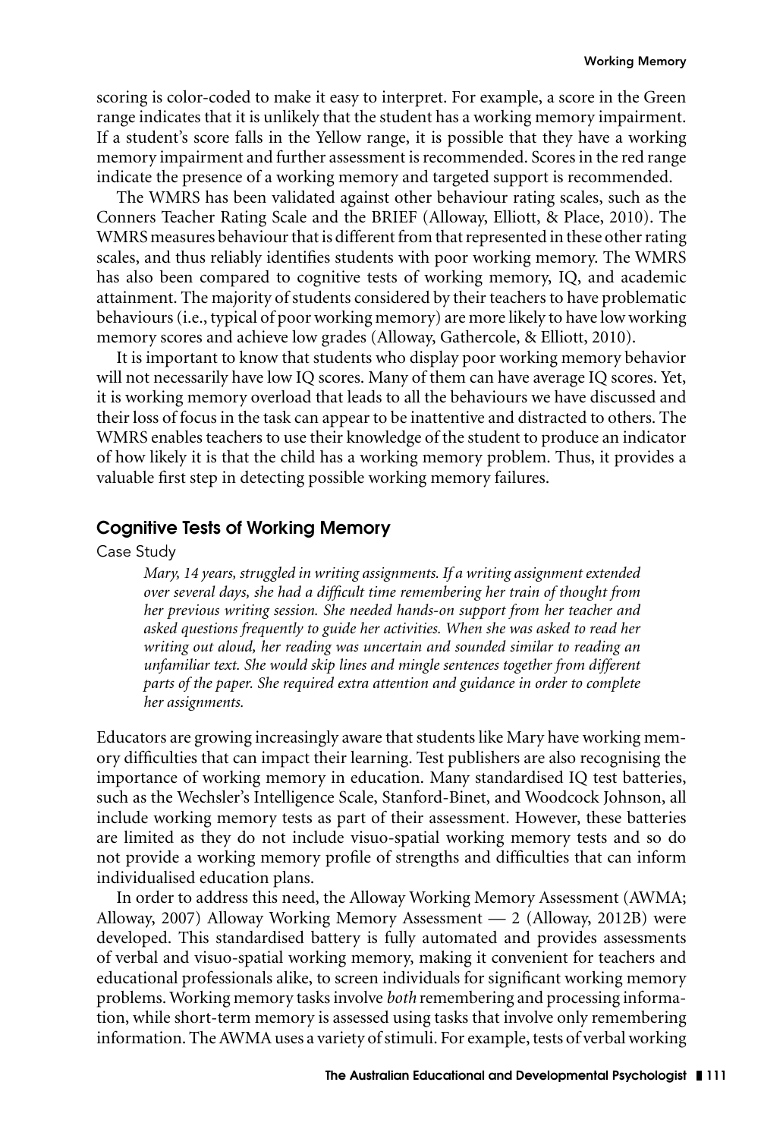scoring is color-coded to make it easy to interpret. For example, a score in the Green range indicates that it is unlikely that the student has a working memory impairment. If a student's score falls in the Yellow range, it is possible that they have a working memory impairment and further assessment is recommended. Scores in the red range indicate the presence of a working memory and targeted support is recommended.

The WMRS has been validated against other behaviour rating scales, such as the Conners Teacher Rating Scale and the BRIEF (Alloway, Elliott, & Place, 2010). The WMRS measures behaviour that is different from that represented in these other rating scales, and thus reliably identifies students with poor working memory. The WMRS has also been compared to cognitive tests of working memory, IQ, and academic attainment. The majority of students considered by their teachers to have problematic behaviours (i.e., typical of poor working memory) are more likely to have low working memory scores and achieve low grades (Alloway, Gathercole, & Elliott, 2010).

It is important to know that students who display poor working memory behavior will not necessarily have low IQ scores. Many of them can have average IQ scores. Yet, it is working memory overload that leads to all the behaviours we have discussed and their loss of focus in the task can appear to be inattentive and distracted to others. The WMRS enables teachers to use their knowledge of the student to produce an indicator of how likely it is that the child has a working memory problem. Thus, it provides a valuable first step in detecting possible working memory failures.

## **Cognitive Tests of Working Memory**

Case Study

*Mary, 14 years, struggled in writing assignments. If a writing assignment extended over several days, she had a difficult time remembering her train of thought from her previous writing session. She needed hands-on support from her teacher and asked questions frequently to guide her activities. When she was asked to read her writing out aloud, her reading was uncertain and sounded similar to reading an unfamiliar text. She would skip lines and mingle sentences together from different parts of the paper. She required extra attention and guidance in order to complete her assignments.*

Educators are growing increasingly aware that students like Mary have working memory difficulties that can impact their learning. Test publishers are also recognising the importance of working memory in education. Many standardised IQ test batteries, such as the Wechsler's Intelligence Scale, Stanford-Binet, and Woodcock Johnson, all include working memory tests as part of their assessment. However, these batteries are limited as they do not include visuo-spatial working memory tests and so do not provide a working memory profile of strengths and difficulties that can inform individualised education plans.

In order to address this need, the Alloway Working Memory Assessment (AWMA; Alloway, 2007) Alloway Working Memory Assessment — 2 (Alloway, 2012B) were developed. This standardised battery is fully automated and provides assessments of verbal and visuo-spatial working memory, making it convenient for teachers and educational professionals alike, to screen individuals for significant working memory problems. Working memory tasks involve *both* remembering and processing information, while short-term memory is assessed using tasks that involve only remembering information. The AWMA uses a variety of stimuli. For example, tests of verbal working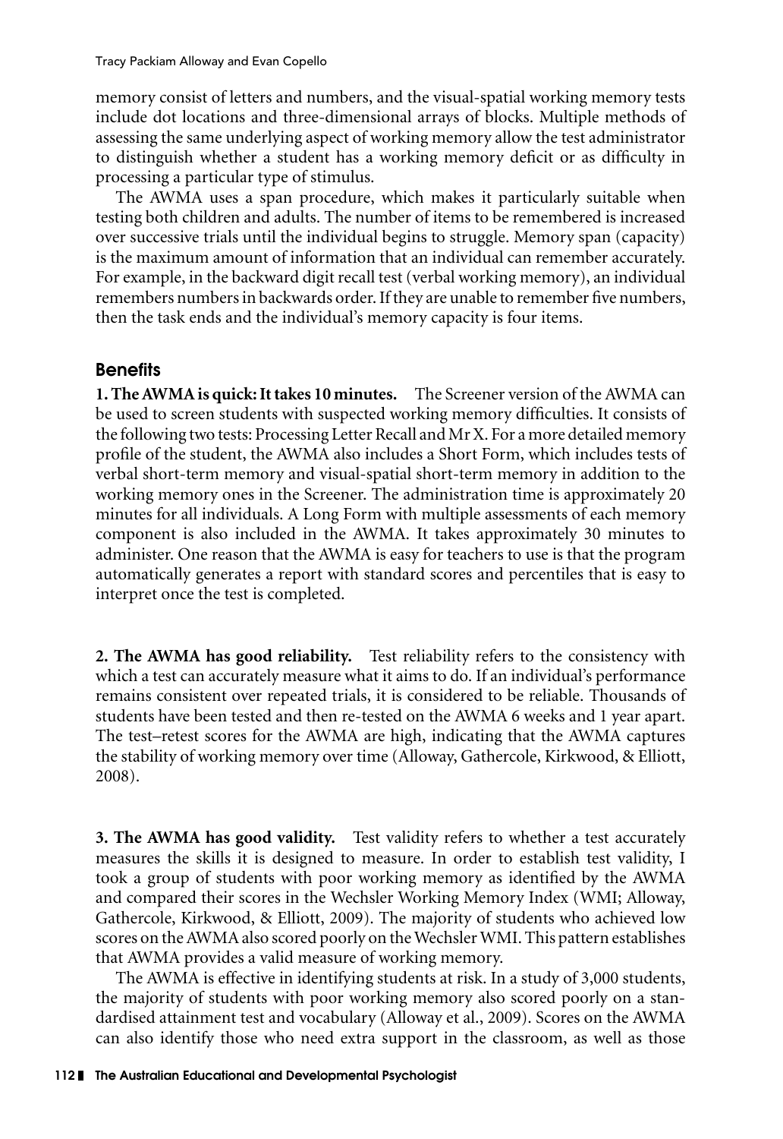memory consist of letters and numbers, and the visual-spatial working memory tests include dot locations and three-dimensional arrays of blocks. Multiple methods of assessing the same underlying aspect of working memory allow the test administrator to distinguish whether a student has a working memory deficit or as difficulty in processing a particular type of stimulus.

The AWMA uses a span procedure, which makes it particularly suitable when testing both children and adults. The number of items to be remembered is increased over successive trials until the individual begins to struggle. Memory span (capacity) is the maximum amount of information that an individual can remember accurately. For example, in the backward digit recall test (verbal working memory), an individual remembers numbers in backwards order. If they are unable to remember five numbers, then the task ends and the individual's memory capacity is four items.

## **Benefits**

**1. The AWMA is quick: It takes 10 minutes.** The Screener version of the AWMA can be used to screen students with suspected working memory difficulties. It consists of the following two tests: Processing Letter Recall and Mr X. For a more detailed memory profile of the student, the AWMA also includes a Short Form, which includes tests of verbal short-term memory and visual-spatial short-term memory in addition to the working memory ones in the Screener. The administration time is approximately 20 minutes for all individuals. A Long Form with multiple assessments of each memory component is also included in the AWMA. It takes approximately 30 minutes to administer. One reason that the AWMA is easy for teachers to use is that the program automatically generates a report with standard scores and percentiles that is easy to interpret once the test is completed.

**2. The AWMA has good reliability.** Test reliability refers to the consistency with which a test can accurately measure what it aims to do. If an individual's performance remains consistent over repeated trials, it is considered to be reliable. Thousands of students have been tested and then re-tested on the AWMA 6 weeks and 1 year apart. The test–retest scores for the AWMA are high, indicating that the AWMA captures the stability of working memory over time (Alloway, Gathercole, Kirkwood, & Elliott, 2008).

**3. The AWMA has good validity.** Test validity refers to whether a test accurately measures the skills it is designed to measure. In order to establish test validity, I took a group of students with poor working memory as identified by the AWMA and compared their scores in the Wechsler Working Memory Index (WMI; Alloway, Gathercole, Kirkwood, & Elliott, 2009). The majority of students who achieved low scores on the AWMA also scored poorly on the Wechsler WMI. This pattern establishes that AWMA provides a valid measure of working memory.

The AWMA is effective in identifying students at risk. In a study of 3,000 students, the majority of students with poor working memory also scored poorly on a standardised attainment test and vocabulary (Alloway et al., 2009). Scores on the AWMA can also identify those who need extra support in the classroom, as well as those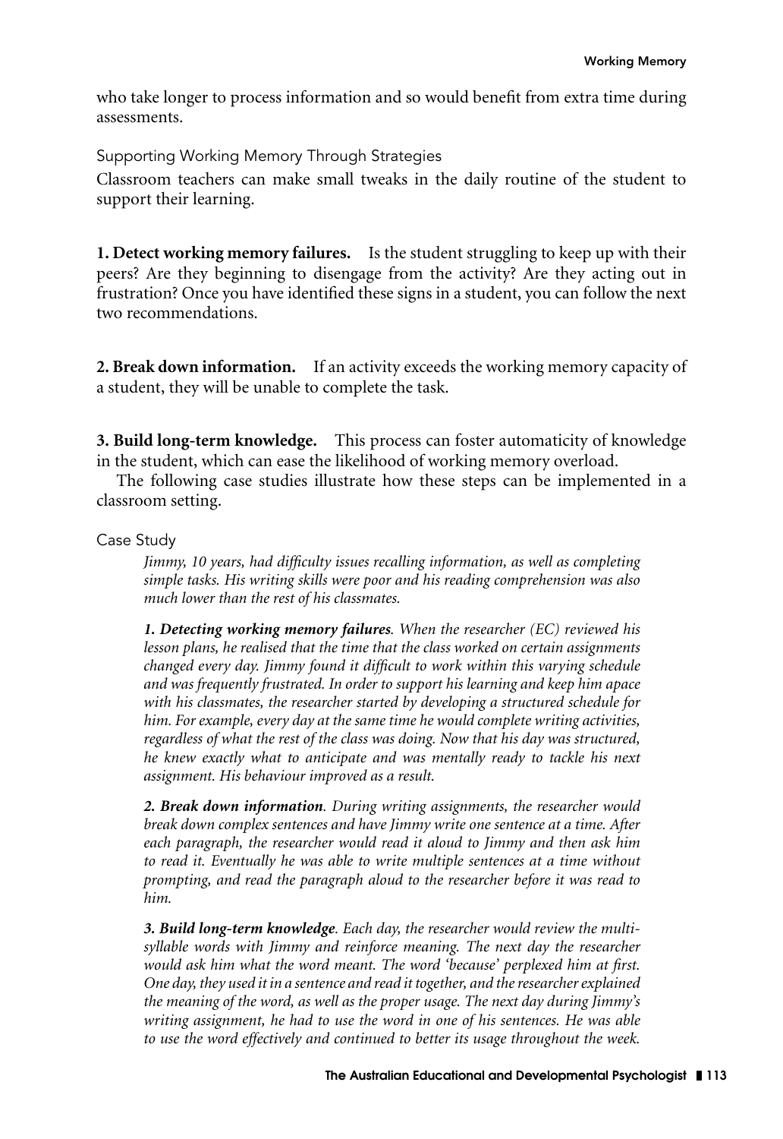who take longer to process information and so would benefit from extra time during assessments.

Supporting Working Memory Through Strategies

Classroom teachers can make small tweaks in the daily routine of the student to support their learning.

**1. Detect working memory failures.** Is the student struggling to keep up with their peers? Are they beginning to disengage from the activity? Are they acting out in frustration? Once you have identified these signs in a student, you can follow the next two recommendations.

**2. Break down information.** If an activity exceeds the working memory capacity of a student, they will be unable to complete the task.

**3. Build long-term knowledge.** This process can foster automaticity of knowledge in the student, which can ease the likelihood of working memory overload.

The following case studies illustrate how these steps can be implemented in a classroom setting.

#### Case Study

*Jimmy, 10 years, had difficulty issues recalling information, as well as completing simple tasks. His writing skills were poor and his reading comprehension was also much lower than the rest of his classmates.*

*1. Detecting working memory failures. When the researcher (EC) reviewed his lesson plans, he realised that the time that the class worked on certain assignments changed every day. Jimmy found it difficult to work within this varying schedule and was frequently frustrated. In order to support his learning and keep him apace with his classmates, the researcher started by developing a structured schedule for him. For example, every day at the same time he would complete writing activities, regardless of what the rest of the class was doing. Now that his day was structured, he knew exactly what to anticipate and was mentally ready to tackle his next assignment. His behaviour improved as a result.*

*2. Break down information. During writing assignments, the researcher would break down complex sentences and have Jimmy write one sentence at a time. After each paragraph, the researcher would read it aloud to Jimmy and then ask him to read it. Eventually he was able to write multiple sentences at a time without prompting, and read the paragraph aloud to the researcher before it was read to him.*

*3. Build long-term knowledge. Each day, the researcher would review the multisyllable words with Jimmy and reinforce meaning. The next day the researcher would ask him what the word meant. The word 'because' perplexed him at first. One day, they used it in a sentence and read it together, and the researcher explained the meaning of the word, as well as the proper usage. The next day during Jimmy's writing assignment, he had to use the word in one of his sentences. He was able to use the word effectively and continued to better its usage throughout the week.*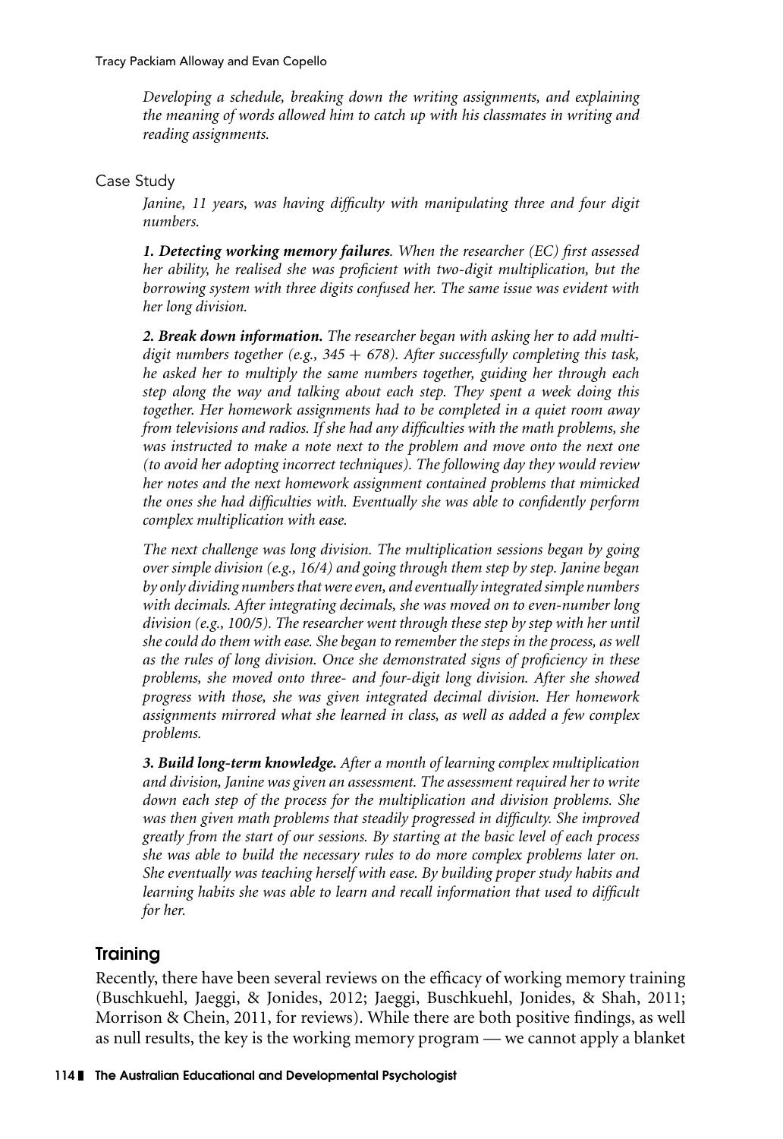*Developing a schedule, breaking down the writing assignments, and explaining the meaning of words allowed him to catch up with his classmates in writing and reading assignments.*

#### Case Study

*Janine, 11 years, was having difficulty with manipulating three and four digit numbers.*

*1. Detecting working memory failures. When the researcher (EC) first assessed her ability, he realised she was proficient with two-digit multiplication, but the borrowing system with three digits confused her. The same issue was evident with her long division.*

*2. Break down information. The researcher began with asking her to add multidigit numbers together (e.g., 345* + *678). After successfully completing this task, he asked her to multiply the same numbers together, guiding her through each step along the way and talking about each step. They spent a week doing this together. Her homework assignments had to be completed in a quiet room away from televisions and radios. If she had any difficulties with the math problems, she was instructed to make a note next to the problem and move onto the next one (to avoid her adopting incorrect techniques). The following day they would review her notes and the next homework assignment contained problems that mimicked the ones she had difficulties with. Eventually she was able to confidently perform complex multiplication with ease.*

*The next challenge was long division. The multiplication sessions began by going over simple division (e.g., 16/4) and going through them step by step. Janine began by only dividing numbers that were even, and eventually integrated simple numbers with decimals. After integrating decimals, she was moved on to even-number long division (e.g., 100/5). The researcher went through these step by step with her until she could do them with ease. She began to remember the steps in the process, as well as the rules of long division. Once she demonstrated signs of proficiency in these problems, she moved onto three- and four-digit long division. After she showed progress with those, she was given integrated decimal division. Her homework assignments mirrored what she learned in class, as well as added a few complex problems.*

*3. Build long-term knowledge. After a month of learning complex multiplication and division, Janine was given an assessment. The assessment required her to write down each step of the process for the multiplication and division problems. She was then given math problems that steadily progressed in difficulty. She improved greatly from the start of our sessions. By starting at the basic level of each process she was able to build the necessary rules to do more complex problems later on. She eventually was teaching herself with ease. By building proper study habits and learning habits she was able to learn and recall information that used to difficult for her.*

## **Training**

Recently, there have been several reviews on the efficacy of working memory training (Buschkuehl, Jaeggi, & Jonides, 2012; Jaeggi, Buschkuehl, Jonides, & Shah, 2011; Morrison & Chein, 2011, for reviews). While there are both positive findings, as well as null results, the key is the working memory program — we cannot apply a blanket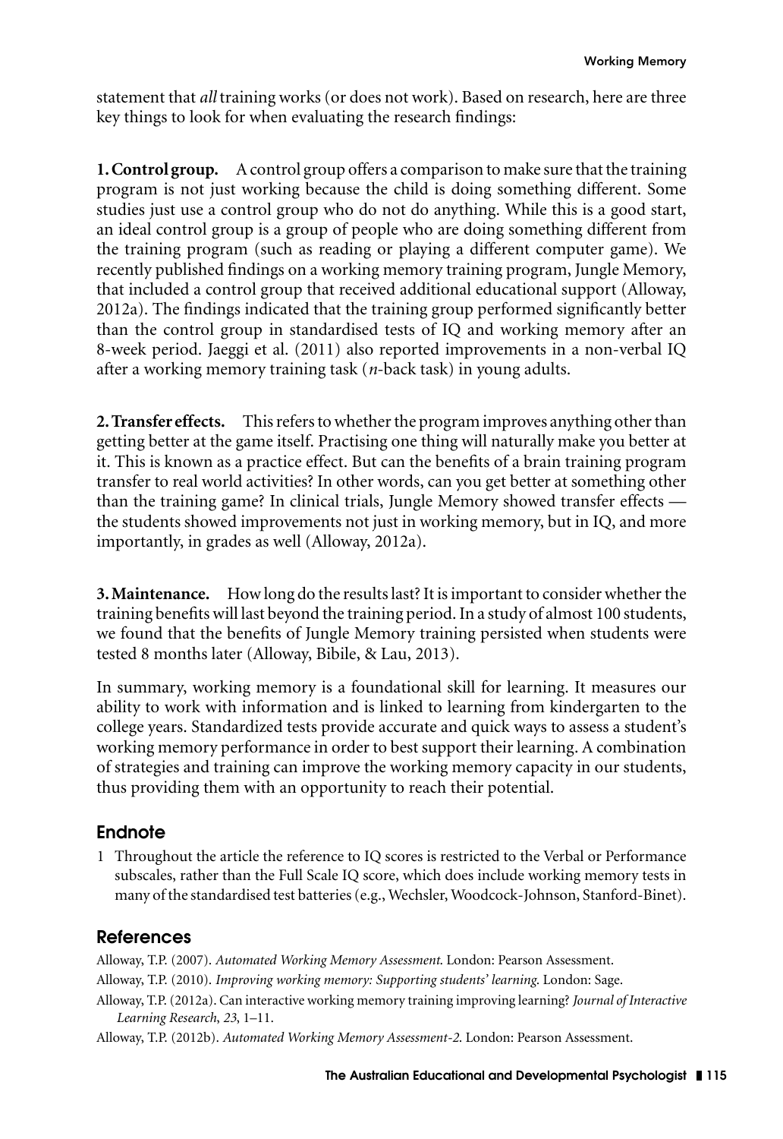statement that *all* training works (or does not work). Based on research, here are three key things to look for when evaluating the research findings:

**1.Control group.** A control group offers a comparison to make sure that the training program is not just working because the child is doing something different. Some studies just use a control group who do not do anything. While this is a good start, an ideal control group is a group of people who are doing something different from the training program (such as reading or playing a different computer game). We recently published findings on a working memory training program, Jungle Memory, that included a control group that received additional educational support (Alloway, 2012a). The findings indicated that the training group performed significantly better than the control group in standardised tests of IQ and working memory after an 8-week period. Jaeggi et al. (2011) also reported improvements in a non-verbal IQ after a working memory training task (*n*-back task) in young adults.

**2.Transfer effects.** This refers to whether the program improves anything other than getting better at the game itself. Practising one thing will naturally make you better at it. This is known as a practice effect. But can the benefits of a brain training program transfer to real world activities? In other words, can you get better at something other than the training game? In clinical trials, Jungle Memory showed transfer effects the students showed improvements not just in working memory, but in IQ, and more importantly, in grades as well (Alloway, 2012a).

**3.Maintenance.** How long do the results last? It is important to consider whether the training benefits will last beyond the training period. In a study of almost 100 students, we found that the benefits of Jungle Memory training persisted when students were tested 8 months later (Alloway, Bibile, & Lau, 2013).

In summary, working memory is a foundational skill for learning. It measures our ability to work with information and is linked to learning from kindergarten to the college years. Standardized tests provide accurate and quick ways to assess a student's working memory performance in order to best support their learning. A combination of strategies and training can improve the working memory capacity in our students, thus providing them with an opportunity to reach their potential.

## **Endnote**

1 Throughout the article the reference to IQ scores is restricted to the Verbal or Performance subscales, rather than the Full Scale IQ score, which does include working memory tests in many of the standardised test batteries (e.g., Wechsler, Woodcock-Johnson, Stanford-Binet).

## **References**

Alloway, T.P. (2007). *Automated Working Memory Assessment*. London: Pearson Assessment.

Alloway, T.P. (2010). *Improving working memory: Supporting students' learning*. London: Sage.

Alloway, T.P. (2012a). Can interactive working memory training improving learning? *Journal of Interactive Learning Research*, *23*, 1–11.

Alloway, T.P. (2012b). *Automated Working Memory Assessment-2*. London: Pearson Assessment.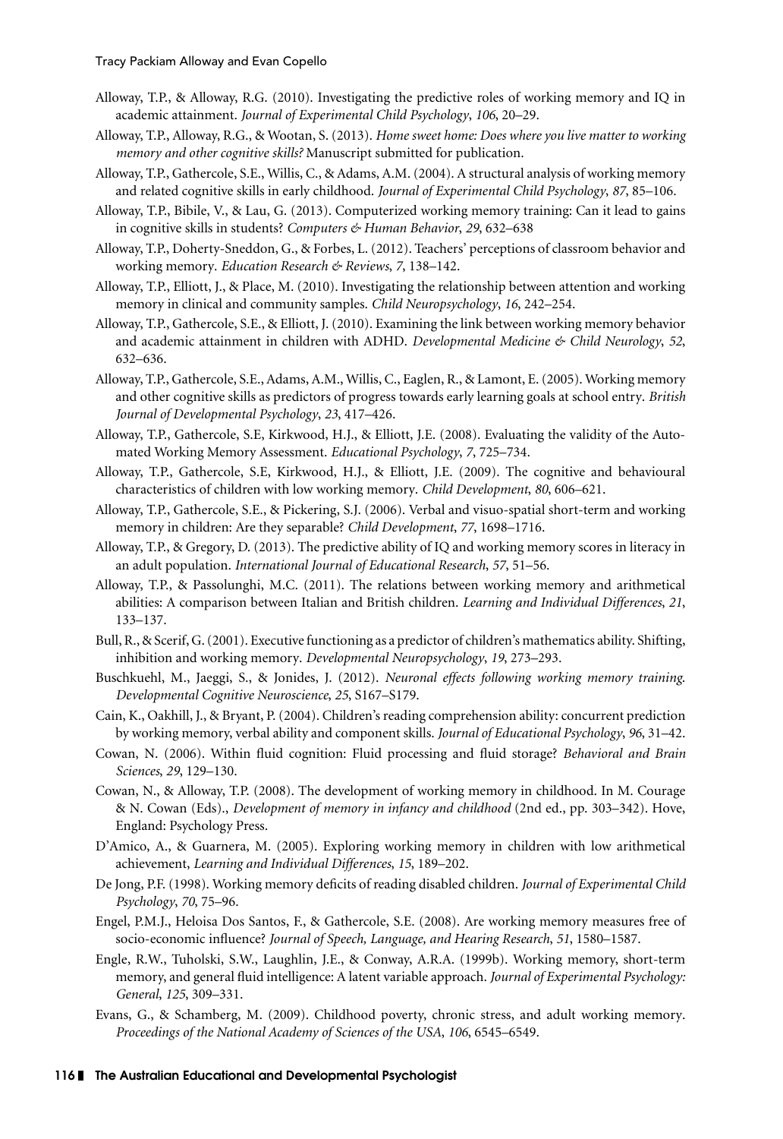- Alloway, T.P., & Alloway, R.G. (2010). Investigating the predictive roles of working memory and IQ in academic attainment. *Journal of Experimental Child Psychology*, *106*, 20–29.
- Alloway, T.P., Alloway, R.G., & Wootan, S. (2013). *Home sweet home: Does where you live matter to working memory and other cognitive skills?* Manuscript submitted for publication.
- Alloway, T.P., Gathercole, S.E., Willis, C., & Adams, A.M. (2004). A structural analysis of working memory and related cognitive skills in early childhood. *Journal of Experimental Child Psychology*, *87*, 85–106.
- Alloway, T.P., Bibile, V., & Lau, G. (2013). Computerized working memory training: Can it lead to gains in cognitive skills in students? *Computers & Human Behavior*, *29*, 632–638
- Alloway, T.P., Doherty-Sneddon, G., & Forbes, L. (2012). Teachers' perceptions of classroom behavior and working memory. *Education Research & Reviews*, *7*, 138–142.
- Alloway, T.P., Elliott, J., & Place, M. (2010). Investigating the relationship between attention and working memory in clinical and community samples. *Child Neuropsychology*, *16*, 242–254.
- Alloway, T.P., Gathercole, S.E., & Elliott, J. (2010). Examining the link between working memory behavior and academic attainment in children with ADHD. *Developmental Medicine & Child Neurology*, *52*, 632–636.
- Alloway, T.P., Gathercole, S.E., Adams, A.M., Willis, C., Eaglen, R., & Lamont, E. (2005). Working memory and other cognitive skills as predictors of progress towards early learning goals at school entry. *British Journal of Developmental Psychology*, *23*, 417–426.
- Alloway, T.P., Gathercole, S.E, Kirkwood, H.J., & Elliott, J.E. (2008). Evaluating the validity of the Automated Working Memory Assessment. *Educational Psychology*, *7*, 725–734.
- Alloway, T.P., Gathercole, S.E, Kirkwood, H.J., & Elliott, J.E. (2009). The cognitive and behavioural characteristics of children with low working memory. *Child Development*, *80*, 606–621.
- Alloway, T.P., Gathercole, S.E., & Pickering, S.J. (2006). Verbal and visuo-spatial short-term and working memory in children: Are they separable? *Child Development*, *77*, 1698–1716.
- Alloway, T.P., & Gregory, D. (2013). The predictive ability of IQ and working memory scores in literacy in an adult population. *International Journal of Educational Research*, *57*, 51–56.
- Alloway, T.P., & Passolunghi, M.C. (2011). The relations between working memory and arithmetical abilities: A comparison between Italian and British children. *Learning and Individual Differences*, *21*, 133–137.
- Bull, R., & Scerif, G. (2001). Executive functioning as a predictor of children's mathematics ability. Shifting, inhibition and working memory. *Developmental Neuropsychology*, *19*, 273–293.
- Buschkuehl, M., Jaeggi, S., & Jonides, J. (2012). *Neuronal effects following working memory training*. *Developmental Cognitive Neuroscience*, *25*, S167–S179.
- Cain, K., Oakhill, J., & Bryant, P. (2004). Children's reading comprehension ability: concurrent prediction by working memory, verbal ability and component skills. *Journal of Educational Psychology*, *96*, 31–42.
- Cowan, N. (2006). Within fluid cognition: Fluid processing and fluid storage? *Behavioral and Brain Sciences*, *29*, 129–130.
- Cowan, N., & Alloway, T.P. (2008). The development of working memory in childhood. In M. Courage & N. Cowan (Eds)., *Development of memory in infancy and childhood* (2nd ed., pp. 303–342). Hove, England: Psychology Press.
- D'Amico, A., & Guarnera, M. (2005). Exploring working memory in children with low arithmetical achievement, *Learning and Individual Differences*, *15*, 189–202.
- De Jong, P.F. (1998). Working memory deficits of reading disabled children. *Journal of Experimental Child Psychology*, *70*, 75–96.
- Engel, P.M.J., Heloisa Dos Santos, F., & Gathercole, S.E. (2008). Are working memory measures free of socio-economic influence? *Journal of Speech, Language, and Hearing Research*, *51*, 1580–1587.
- Engle, R.W., Tuholski, S.W., Laughlin, J.E., & Conway, A.R.A. (1999b). Working memory, short-term memory, and general fluid intelligence: A latent variable approach. *Journal of Experimental Psychology: General*, *125*, 309–331.
- Evans, G., & Schamberg, M. (2009). Childhood poverty, chronic stress, and adult working memory. *Proceedings of the National Academy of Sciences of the USA*, *106*, 6545–6549.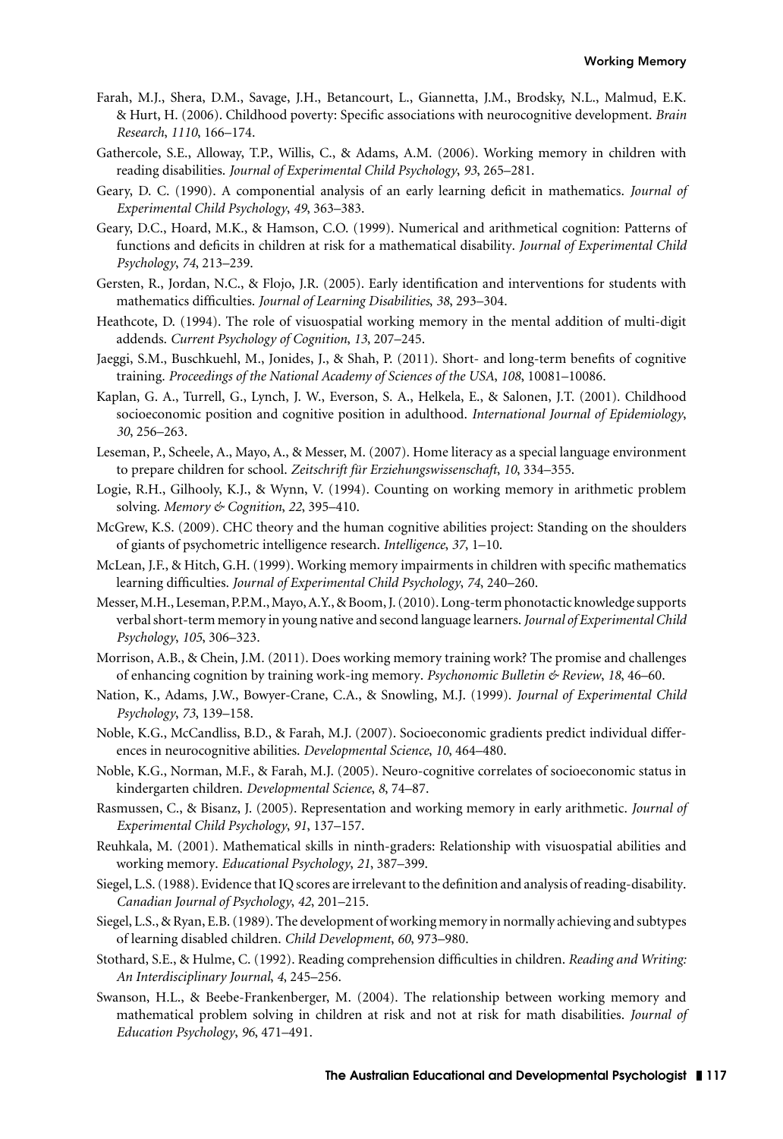- Farah, M.J., Shera, D.M., Savage, J.H., Betancourt, L., Giannetta, J.M., Brodsky, N.L., Malmud, E.K. & Hurt, H. (2006). Childhood poverty: Specific associations with neurocognitive development. *Brain Research*, *1110*, 166–174.
- Gathercole, S.E., Alloway, T.P., Willis, C., & Adams, A.M. (2006). Working memory in children with reading disabilities. *Journal of Experimental Child Psychology*, *93*, 265–281.
- Geary, D. C. (1990). A componential analysis of an early learning deficit in mathematics. *Journal of Experimental Child Psychology*, *49*, 363–383.
- Geary, D.C., Hoard, M.K., & Hamson, C.O. (1999). Numerical and arithmetical cognition: Patterns of functions and deficits in children at risk for a mathematical disability. *Journal of Experimental Child Psychology*, *74*, 213–239.
- Gersten, R., Jordan, N.C., & Flojo, J.R. (2005). Early identification and interventions for students with mathematics difficulties. *Journal of Learning Disabilities*, *38*, 293–304.
- Heathcote, D. (1994). The role of visuospatial working memory in the mental addition of multi-digit addends. *Current Psychology of Cognition*, *13*, 207–245.
- Jaeggi, S.M., Buschkuehl, M., Jonides, J., & Shah, P. (2011). Short- and long-term benefits of cognitive training. *Proceedings of the National Academy of Sciences of the USA*, *108*, 10081–10086.
- Kaplan, G. A., Turrell, G., Lynch, J. W., Everson, S. A., Helkela, E., & Salonen, J.T. (2001). Childhood socioeconomic position and cognitive position in adulthood. *International Journal of Epidemiology*, *30*, 256–263.
- Leseman, P., Scheele, A., Mayo, A., & Messer, M. (2007). Home literacy as a special language environment to prepare children for school. Zeitschrift für Erziehungswissenschaft, 10, 334–355.
- Logie, R.H., Gilhooly, K.J., & Wynn, V. (1994). Counting on working memory in arithmetic problem solving. *Memory & Cognition*, *22*, 395–410.
- McGrew, K.S. (2009). CHC theory and the human cognitive abilities project: Standing on the shoulders of giants of psychometric intelligence research. *Intelligence*, *37*, 1–10.
- McLean, J.F., & Hitch, G.H. (1999). Working memory impairments in children with specific mathematics learning difficulties. *Journal of Experimental Child Psychology*, *74*, 240–260.
- Messer, M.H., Leseman, P.P.M., Mayo, A.Y., & Boom, J. (2010). Long-term phonotactic knowledge supports verbal short-term memory in young native and second language learners.*Journal of Experimental Child Psychology*, *105*, 306–323.
- Morrison, A.B., & Chein, J.M. (2011). Does working memory training work? The promise and challenges of enhancing cognition by training work-ing memory. *Psychonomic Bulletin & Review*, *18*, 46–60.
- Nation, K., Adams, J.W., Bowyer-Crane, C.A., & Snowling, M.J. (1999). *Journal of Experimental Child Psychology*, *73*, 139–158.
- Noble, K.G., McCandliss, B.D., & Farah, M.J. (2007). Socioeconomic gradients predict individual differences in neurocognitive abilities. *Developmental Science*, *10*, 464–480.
- Noble, K.G., Norman, M.F., & Farah, M.J. (2005). Neuro-cognitive correlates of socioeconomic status in kindergarten children. *Developmental Science*, *8*, 74–87.
- Rasmussen, C., & Bisanz, J. (2005). Representation and working memory in early arithmetic. *Journal of Experimental Child Psychology*, *91*, 137–157.
- Reuhkala, M. (2001). Mathematical skills in ninth-graders: Relationship with visuospatial abilities and working memory. *Educational Psychology*, *21*, 387–399.
- Siegel, L.S. (1988). Evidence that IQ scores are irrelevant to the definition and analysis of reading-disability. *Canadian Journal of Psychology*, *42*, 201–215.
- Siegel, L.S., & Ryan, E.B. (1989). The development of working memory in normally achieving and subtypes of learning disabled children. *Child Development*, *60*, 973–980.
- Stothard, S.E., & Hulme, C. (1992). Reading comprehension difficulties in children. *Reading and Writing: An Interdisciplinary Journal*, *4*, 245–256.
- Swanson, H.L., & Beebe-Frankenberger, M. (2004). The relationship between working memory and mathematical problem solving in children at risk and not at risk for math disabilities. *Journal of Education Psychology*, *96*, 471–491.